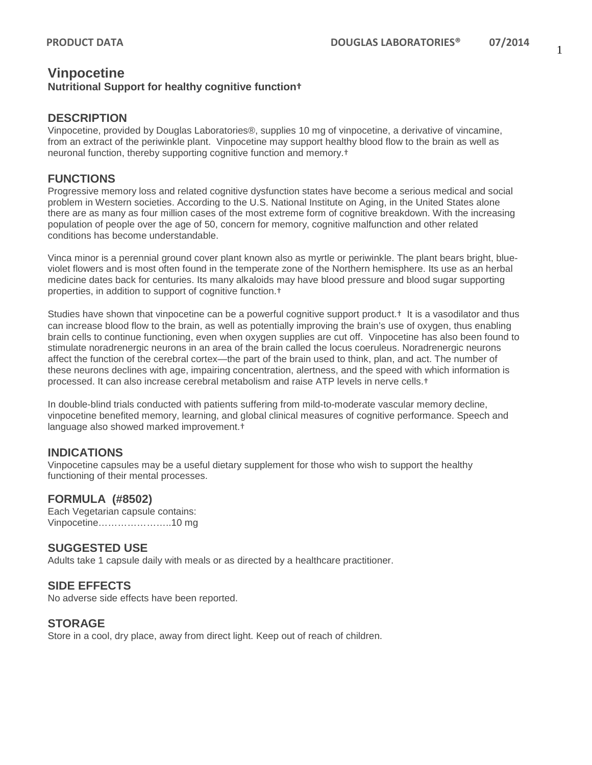# **Vinpocetine**

#### **Nutritional Support for healthy cognitive function†**

## **DESCRIPTION**

Vinpocetine, provided by Douglas Laboratories®, supplies 10 mg of vinpocetine, a derivative of vincamine, from an extract of the periwinkle plant. Vinpocetine may support healthy blood flow to the brain as well as neuronal function, thereby supporting cognitive function and memory.†

### **FUNCTIONS**

Progressive memory loss and related cognitive dysfunction states have become a serious medical and social problem in Western societies. According to the U.S. National Institute on Aging, in the United States alone there are as many as four million cases of the most extreme form of cognitive breakdown. With the increasing population of people over the age of 50, concern for memory, cognitive malfunction and other related conditions has become understandable.

Vinca minor is a perennial ground cover plant known also as myrtle or periwinkle. The plant bears bright, blueviolet flowers and is most often found in the temperate zone of the Northern hemisphere. Its use as an herbal medicine dates back for centuries. Its many alkaloids may have blood pressure and blood sugar supporting properties, in addition to support of cognitive function.†

Studies have shown that vinpocetine can be a powerful cognitive support product.<sup>†</sup> It is a vasodilator and thus can increase blood flow to the brain, as well as potentially improving the brain's use of oxygen, thus enabling brain cells to continue functioning, even when oxygen supplies are cut off. Vinpocetine has also been found to stimulate noradrenergic neurons in an area of the brain called the locus coeruleus. Noradrenergic neurons affect the function of the cerebral cortex—the part of the brain used to think, plan, and act. The number of these neurons declines with age, impairing concentration, alertness, and the speed with which information is processed. It can also increase cerebral metabolism and raise ATP levels in nerve cells.†

In double-blind trials conducted with patients suffering from mild-to-moderate vascular memory decline, vinpocetine benefited memory, learning, and global clinical measures of cognitive performance. Speech and language also showed marked improvement.†

## **INDICATIONS**

Vinpocetine capsules may be a useful dietary supplement for those who wish to support the healthy functioning of their mental processes.

#### **FORMULA (#8502)**

Each Vegetarian capsule contains: Vinpocetine…………………..10 mg

## **SUGGESTED USE**

Adults take 1 capsule daily with meals or as directed by a healthcare practitioner.

#### **SIDE EFFECTS**

No adverse side effects have been reported.

#### **STORAGE**

Store in a cool, dry place, away from direct light. Keep out of reach of children.